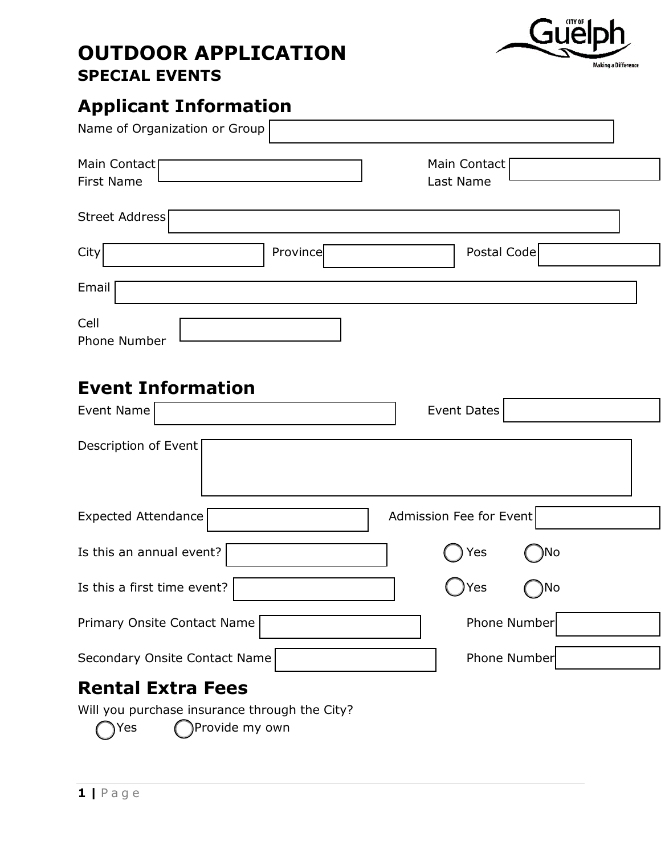### **OUTDOOR APPLICATION SPECIAL EVENTS**



# **Applicant Information**

| Name of Organization or Group                 |                         |
|-----------------------------------------------|-------------------------|
| Main Contact<br><b>First Name</b>             | Main Contact            |
|                                               | Last Name               |
| Street Address                                |                         |
| Province<br>City                              | Postal Code             |
| Email                                         |                         |
| Cell                                          |                         |
| <b>Phone Number</b>                           |                         |
|                                               |                         |
| <b>Event Information</b>                      |                         |
| Event Name                                    | Event Dates             |
| Description of Event                          |                         |
| Expected Attendance                           | Admission Fee for Event |
| Is this an annual event?                      | )No<br>Yes              |
| Is this a first time event?                   | Yes<br>,No              |
| Primary Onsite Contact Name                   | Phone Number            |
| Secondary Onsite Contact Name                 | Phone Number            |
| <b>Rental Extra Fees</b>                      |                         |
| Will you purchase insurance through the City? |                         |

 $Yes$  Provide my own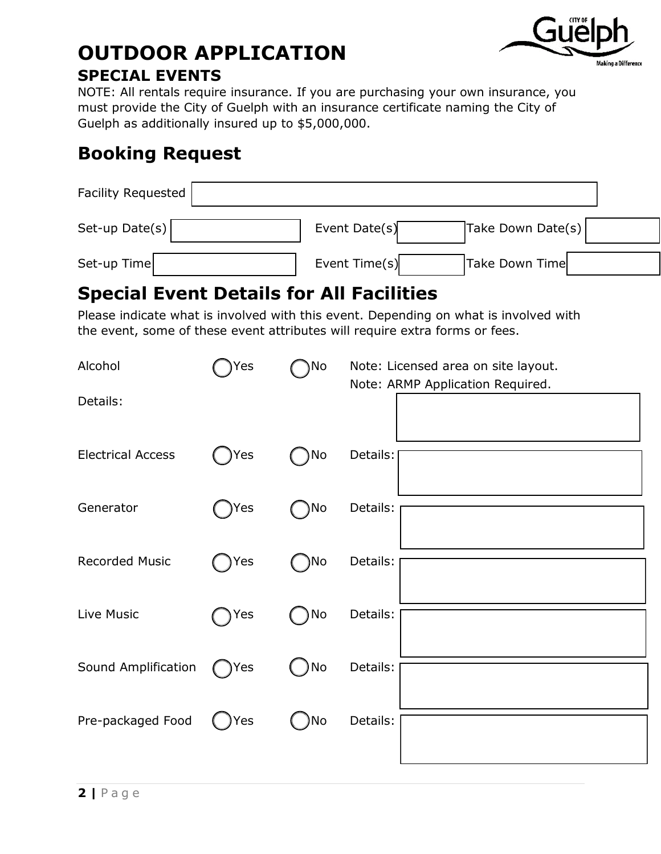

#### **OUTDOOR APPLICATION SPECIAL EVENTS**

NOTE: All rentals require insurance. If you are purchasing your own insurance, you must provide the City of Guelph with an insurance certificate naming the City of Guelph as additionally insured up to \$5,000,000.

### **Booking Request**

| Facility Requested |                                    |  |
|--------------------|------------------------------------|--|
| Set-up Date(s)     | Take Down Date(s)<br>Event Date(s) |  |
| Set-up Time        | Event Time(s)<br>Take Down Time    |  |

### **Special Event Details for All Facilities**

Please indicate what is involved with this event. Depending on what is involved with the event, some of these event attributes will require extra forms or fees.

| Alcohol<br>Details:      | Yes  | )No | Note: Licensed area on site layout.<br>Note: ARMP Application Required. |
|--------------------------|------|-----|-------------------------------------------------------------------------|
| <b>Electrical Access</b> | Yes  | No  | Details:                                                                |
| Generator                | )Yes | )No | Details:                                                                |
| <b>Recorded Music</b>    | Yes) | )No | Details:                                                                |
| Live Music               | Yes  | No  | Details:                                                                |
| Sound Amplification      | Yes  | No  | Details:                                                                |
| Pre-packaged Food        | Yes  | No  | Details:                                                                |
|                          |      |     |                                                                         |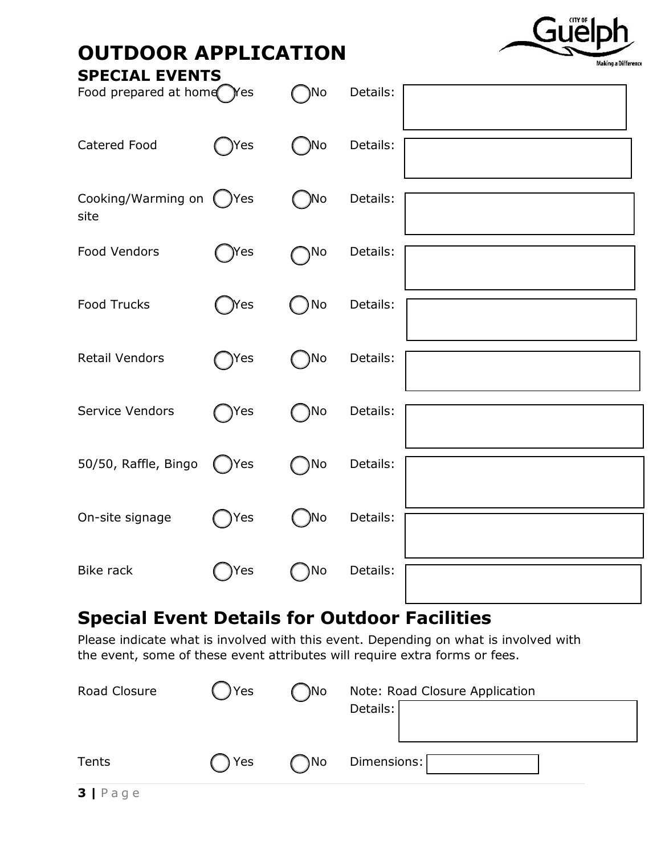

### **OUTDOOR APPLICATION**

| <b>SPECIAL EVENTS</b><br>Food prepared at home Yes |               | )No          | Details: |  |
|----------------------------------------------------|---------------|--------------|----------|--|
| Catered Food                                       | )Yes          | No l         | Details: |  |
| Cooking/Warming on<br>site                         | ( )Yes        | )No<br>I.    | Details: |  |
| Food Vendors                                       | )Yes          | )No          | Details: |  |
| <b>Food Trucks</b>                                 | <b>Nes</b>    | )No          | Details: |  |
| <b>Retail Vendors</b>                              | $\bigcap$ Yes | $\bigcap$ No | Details: |  |
| Service Vendors                                    | )Yes          | )No          | Details: |  |
| 50/50, Raffle, Bingo                               | ( )Yes        | $\bigcap$ No | Details: |  |
| On-site signage                                    | )Yes          | ()No         | Details: |  |
| <b>Bike rack</b>                                   | Yes           | No           | Details: |  |

## **Special Event Details for Outdoor Facilities**

Please indicate what is involved with this event. Depending on what is involved with the event, some of these event attributes will require extra forms or fees.

| Road Closure                                                                                             | Yes | )No | Note: Road Closure Application<br>Details: |
|----------------------------------------------------------------------------------------------------------|-----|-----|--------------------------------------------|
| Tents                                                                                                    | Yes | )No | Dimensions:                                |
| $\blacksquare$ $\blacksquare$ $\blacksquare$ $\blacksquare$ $\blacksquare$ $\blacksquare$ $\blacksquare$ |     |     |                                            |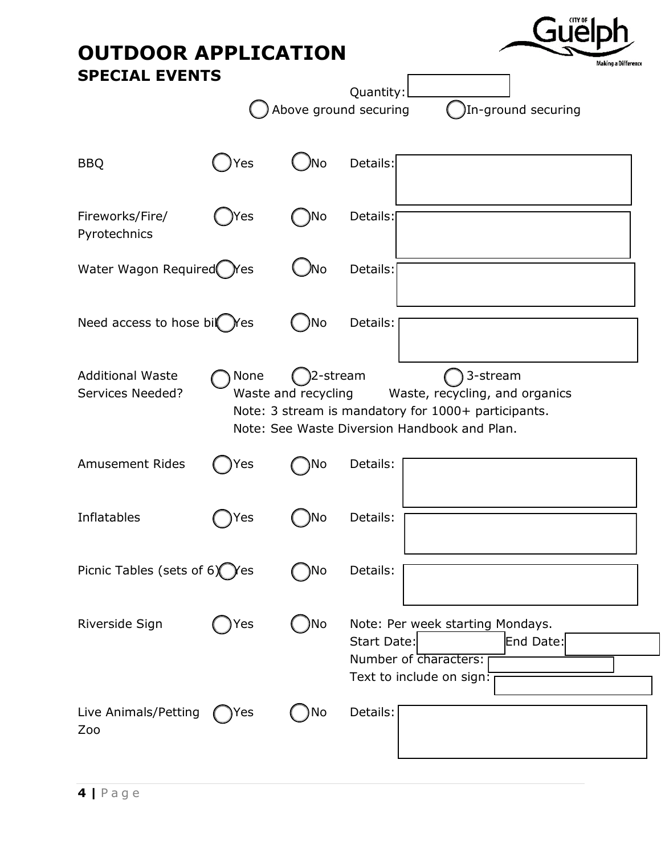| <b>OUTDOOR APPLICATION</b>                  |            |                                 | Making a Difference                                                                                                                               |  |  |
|---------------------------------------------|------------|---------------------------------|---------------------------------------------------------------------------------------------------------------------------------------------------|--|--|
| <b>SPECIAL EVENTS</b>                       |            |                                 | Quantity:<br>Above ground securing<br>In-ground securing                                                                                          |  |  |
| <b>BBQ</b>                                  | Yes        | 'Nο                             | Details:                                                                                                                                          |  |  |
| Fireworks/Fire/<br>Pyrotechnics             | Yes        | No                              | Details:                                                                                                                                          |  |  |
| Water Wagon Required                        | <b>Yes</b> | 'Nο                             | Details:                                                                                                                                          |  |  |
| Need access to hose bil                     | <b>Yes</b> | No                              | Details:                                                                                                                                          |  |  |
| <b>Additional Waste</b><br>Services Needed? | None       | 2-stream<br>Waste and recycling | 3-stream<br>Waste, recycling, and organics<br>Note: 3 stream is mandatory for 1000+ participants.<br>Note: See Waste Diversion Handbook and Plan. |  |  |
| <b>Amusement Rides</b>                      | 'es        | Νo                              | Details:                                                                                                                                          |  |  |
| Inflatables                                 | 'es        | ٧о                              | Details:                                                                                                                                          |  |  |
| Picnic Tables (sets of $6\degree$ ) Yes     |            | )No                             | Details:                                                                                                                                          |  |  |
| Riverside Sign                              | Yes        | )No                             | Note: Per week starting Mondays.<br>Start Date:<br>End Date:<br>Number of Characters:<br>Text to include on sign:                                 |  |  |
| Live Animals/Petting<br>Zoo                 | Yes        | No                              | Details:                                                                                                                                          |  |  |